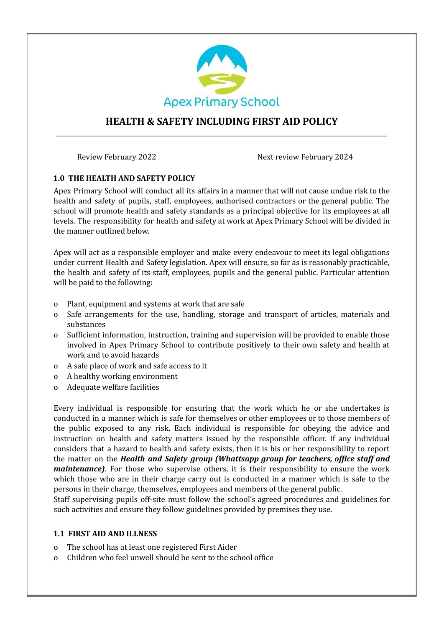

# **HEALTH & SAFETY INCLUDING FIRST AID POLICY**

Review February 2022 and the Next review February 2024

### **1.0 THE HEALTH AND SAFETY POLICY**

Apex Primary School will conduct all its affairs in a manner that will not cause undue risk to the health and safety of pupils, staff, employees, authorised contractors or the general public. The school will promote health and safety standards as a principal objective for its employees at all levels. The responsibility for health and safety at work at Apex Primary School will be divided in the manner outlined below.

Apex will act as a responsible employer and make every endeavour to meet its legal obligations under current Health and Safety legislation. Apex will ensure, so far as is reasonably practicable, the health and safety of its staff, employees, pupils and the general public. Particular attention will be paid to the following:

- o Plant, equipment and systems at work that are safe
- o Safe arrangements for the use, handling, storage and transport of articles, materials and substances
- o Sufficient information, instruction, training and supervision will be provided to enable those involved in Apex Primary School to contribute positively to their own safety and health at work and to avoid hazards
- o A safe place of work and safe access to it
- o A healthy working environment
- o Adequate welfare facilities

Every individual is responsible for ensuring that the work which he or she undertakes is conducted in a manner which is safe for themselves or other employees or to those members of the public exposed to any risk. Each individual is responsible for obeying the advice and instruction on health and safety matters issued by the responsible officer. If any individual considers that a hazard to health and safety exists, then it is his or her responsibility to report the matter on the *Health and Safety group (Whattsapp group for teachers, office staff and maintenance*). For those who supervise others, it is their responsibility to ensure the work which those who are in their charge carry out is conducted in a manner which is safe to the persons in their charge, themselves, employees and members of the general public.

Staff supervising pupils off-site must follow the school's agreed procedures and guidelines for such activities and ensure they follow guidelines provided by premises they use.

#### **1.1 FIRST AID AND ILLNESS**

- o The school has at least one registered First Aider
- o Children who feel unwell should be sent to the school office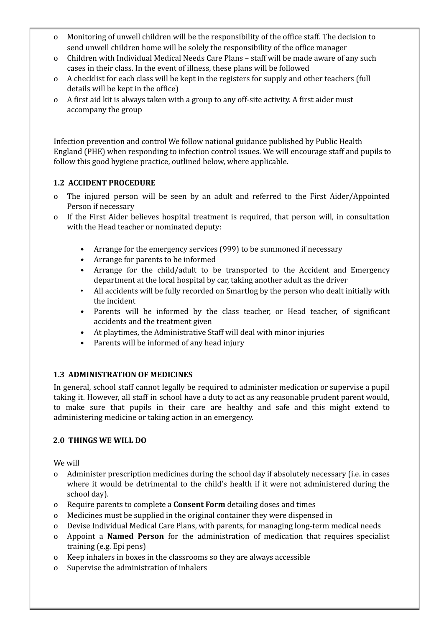- o Monitoring of unwell children will be the responsibility of the office staff. The decision to send unwell children home will be solely the responsibility of the office manager
- o Children with Individual Medical Needs Care Plans staff will be made aware of any such cases in their class. In the event of illness, these plans will be followed
- o A checklist for each class will be kept in the registers for supply and other teachers (full details will be kept in the office)
- o A first aid kit is always taken with a group to any off-site activity. A first aider must accompany the group

Infection prevention and control We follow national guidance published by Public Health England (PHE) when responding to infection control issues. We will encourage staff and pupils to follow this good hygiene practice, outlined below, where applicable.

# **1.2 ACCIDENT PROCEDURE**

- o The injured person will be seen by an adult and referred to the First Aider/Appointed Person if necessary
- o If the First Aider believes hospital treatment is required, that person will, in consultation with the Head teacher or nominated deputy:
	- Arrange for the emergency services (999) to be summoned if necessary
	- Arrange for parents to be informed
	- Arrange for the child/adult to be transported to the Accident and Emergency department at the local hospital by car, taking another adult as the driver
	- All accidents will be fully recorded on Smartlog by the person who dealt initially with the incident
	- Parents will be informed by the class teacher, or Head teacher, of significant accidents and the treatment given
	- At playtimes, the Administrative Staff will deal with minor injuries
	- Parents will be informed of any head injury

# **1.3 ADMINISTRATION OF MEDICINES**

In general, school staff cannot legally be required to administer medication or supervise a pupil taking it. However, all staff in school have a duty to act as any reasonable prudent parent would, to make sure that pupils in their care are healthy and safe and this might extend to administering medicine or taking action in an emergency.

# **2.0 THINGS WE WILL DO**

We will

- o Administer prescription medicines during the school day if absolutely necessary (i.e. in cases where it would be detrimental to the child's health if it were not administered during the school day).
- o Require parents to complete a **Consent Form** detailing doses and times
- o Medicines must be supplied in the original container they were dispensed in
- o Devise Individual Medical Care Plans, with parents, for managing long-term medical needs
- o Appoint a **Named Person** for the administration of medication that requires specialist training (e.g. Epi pens)
- o Keep inhalers in boxes in the classrooms so they are always accessible
- o Supervise the administration of inhalers